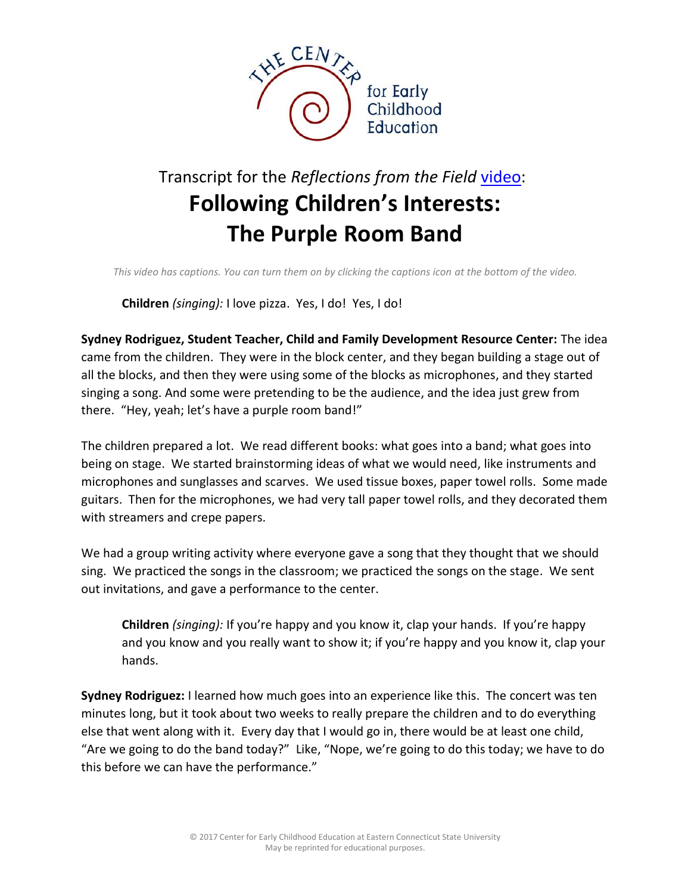

## Transcript for the *Reflections from the Field* [video:](http://www.easternct.edu/cece/reflections-following-childrens-interests/) **Following Children's Interests: The Purple Room Band**

*This video has captions. You can turn them on by clicking the captions icon at the bottom of the video.*

**Children** *(singing):* I love pizza. Yes, I do! Yes, I do!

**Sydney Rodriguez, Student Teacher, Child and Family Development Resource Center:** The idea came from the children. They were in the block center, and they began building a stage out of all the blocks, and then they were using some of the blocks as microphones, and they started singing a song. And some were pretending to be the audience, and the idea just grew from there. "Hey, yeah; let's have a purple room band!"

The children prepared a lot. We read different books: what goes into a band; what goes into being on stage. We started brainstorming ideas of what we would need, like instruments and microphones and sunglasses and scarves. We used tissue boxes, paper towel rolls. Some made guitars. Then for the microphones, we had very tall paper towel rolls, and they decorated them with streamers and crepe papers.

We had a group writing activity where everyone gave a song that they thought that we should sing. We practiced the songs in the classroom; we practiced the songs on the stage. We sent out invitations, and gave a performance to the center.

**Children** *(singing):* If you're happy and you know it, clap your hands. If you're happy and you know and you really want to show it; if you're happy and you know it, clap your hands.

**Sydney Rodriguez:** I learned how much goes into an experience like this. The concert was ten minutes long, but it took about two weeks to really prepare the children and to do everything else that went along with it. Every day that I would go in, there would be at least one child, "Are we going to do the band today?" Like, "Nope, we're going to do this today; we have to do this before we can have the performance."